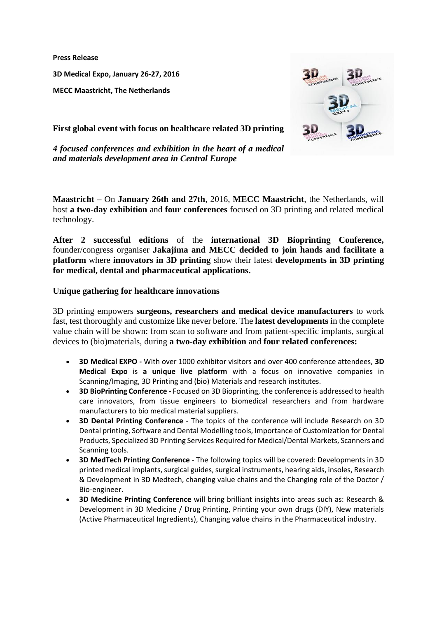**Press Release**

**3D Medical Expo, January 26-27, 2016**

**MECC Maastricht, The Netherlands**



**First global event with focus on healthcare related 3D printing** 

*4 focused conferences and exhibition in the heart of a medical and materials development area in Central Europe* 

**Maastricht –** On **January 26th and 27th**, 2016, **MECC Maastricht**, the Netherlands, will host **a two-day exhibition** and **four conferences** focused on 3D printing and related medical technology.

**After 2 successful editions** of the **international 3D Bioprinting Conference,**  founder/congress organiser **Jakajima and MECC decided to join hands and facilitate a platform** where **innovators in 3D printing** show their latest **developments in 3D printing for medical, dental and pharmaceutical applications.** 

# **Unique gathering for healthcare innovations**

3D printing empowers **surgeons, researchers and medical device manufacturers** to work fast, test thoroughly and customize like never before. The **latest developments** in the complete value chain will be shown: from scan to software and from patient-specific implants, surgical devices to (bio)materials, during **a two-day exhibition** and **four related conferences:**

- **[3D Medical EXPO](http://www.jakajima.be/veulnieuws/lt.php?id=LEkHWgoDGgIPVUUFVlcAVg) -** With over 1000 exhibitor visitors and over 400 conference attendees, **3D Medical Expo** is **a unique live platform** with a focus on innovative companies in Scanning/Imaging, 3D Printing and (bio) Materials and research institutes.
- **[3D BioPrinting Conference](http://www.jakajima.be/veulnieuws/lt.php?id=LEkFUAUCGgIPVUUFVlcAVg) -** Focused on 3D Bioprinting, the conference is addressed to health care innovators, from tissue engineers to biomedical researchers and from hardware manufacturers to bio medical material suppliers.
- **[3D Dental Printing Conference](http://www.jakajima.be/veulnieuws/lt.php?id=LEkHWgoAGgIPVUUFVlcAVg)** The topics of the conference will include Research on 3D Dental printing, Software and Dental Modelling tools, Importance of Customization for Dental Products, Specialized 3D Printing Services Required for Medical/Dental Markets, Scanners and Scanning tools.
- **[3D MedTech Printing Conference](http://www.jakajima.be/veulnieuws/lt.php?id=LEkHWgoBGgIPVUUFVlcAVg)** The following topics will be covered: Developments in 3D printed medical implants, surgical guides, surgical instruments, hearing aids, insoles, Research & Development in 3D Medtech, changing value chains and the Changing role of the Doctor / Bio-engineer.
- **[3D Medicine Printing Conference](http://www.jakajima.be/veulnieuws/lt.php?id=LEkHWgoGGgIPVUUFVlcAVg)** will bring brilliant insights into areas such as: Research & Development in 3D Medicine / Drug Printing, Printing your own drugs (DIY), New materials (Active Pharmaceutical Ingredients), Changing value chains in the Pharmaceutical industry.